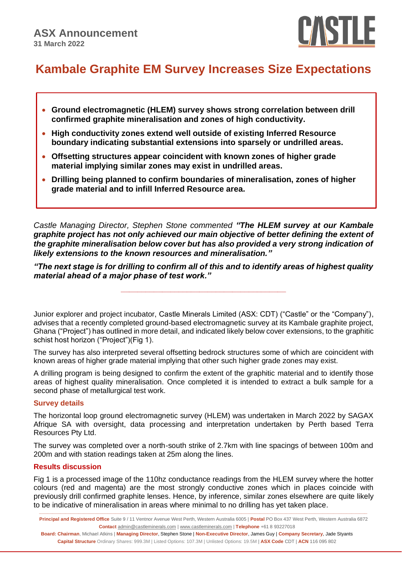

# **Kambale Graphite EM Survey Increases Size Expectations**

- **Ground electromagnetic (HLEM) survey shows strong correlation between drill confirmed graphite mineralisation and zones of high conductivity.**
- **High conductivity zones extend well outside of existing Inferred Resource boundary indicating substantial extensions into sparsely or undrilled areas.**
- **Offsetting structures appear coincident with known zones of higher grade material implying similar zones may exist in undrilled areas.**
- **Drilling being planned to confirm boundaries of mineralisation, zones of higher grade material and to infill Inferred Resource area.**

*Castle Managing Director, Stephen Stone commented "The HLEM survey at our Kambale graphite project has not only achieved our main objective of better defining the extent of the graphite mineralisation below cover but has also provided a very strong indication of likely extensions to the known resources and mineralisation."*

*"The next stage is for drilling to confirm all of this and to identify areas of highest quality material ahead of a major phase of test work."*

**\_\_\_\_\_\_\_\_\_\_\_\_\_\_\_\_\_\_\_\_\_\_\_\_\_\_\_\_\_\_\_\_\_\_\_\_\_\_\_\_**

Junior explorer and project incubator, Castle Minerals Limited (ASX: CDT) ("Castle" or the "Company"), advises that a recently completed ground-based electromagnetic survey at its Kambale graphite project, Ghana ("Project") has outlined in more detail, and indicated likely below cover extensions, to the graphitic schist host horizon ("Project")(Fig 1).

The survey has also interpreted several offsetting bedrock structures some of which are coincident with known areas of higher grade material implying that other such higher grade zones may exist.

A drilling program is being designed to confirm the extent of the graphitic material and to identify those areas of highest quality mineralisation. Once completed it is intended to extract a bulk sample for a second phase of metallurgical test work.

#### **Survey details**

The horizontal loop ground electromagnetic survey (HLEM) was undertaken in March 2022 by SAGAX Afrique SA with oversight, data processing and interpretation undertaken by Perth based Terra Resources Pty Ltd.

The survey was completed over a north-south strike of 2.7km with line spacings of between 100m and 200m and with station readings taken at 25m along the lines.

## **Results discussion**

Fig 1 is a processed image of the 110hz conductance readings from the HLEM survey where the hotter colours (red and magenta) are the most strongly conductive zones which in places coincide with previously drill confirmed graphite lenses. Hence, by inference, similar zones elsewhere are quite likely to be indicative of mineralisation in areas where minimal to no drilling has yet taken place.

**Board: Chairman**, Michael Atkins | **Managing Director**, Stephen Stone | **Non-Executive Director**, James Guy | **Company Secretary**, Jade Styants **Capital Structure** Ordinary Shares: 999.3M | Listed Options: 107.3M | Unlisted Options: 19.5M | **ASX Code** CDT | **ACN** 116 095 802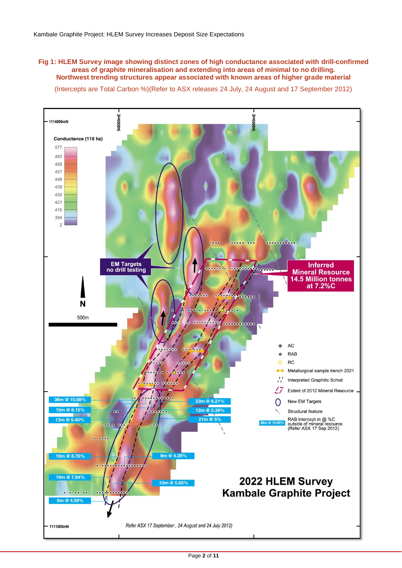#### **Fig 1: HLEM Survey image showing distinct zones of high conductance associated with drill-confirmed areas of graphite mineralisation and extending into areas of minimal to no drilling. Northwest trending structures appear associated with known areas of higher grade material**

(Intercepts are Total Carbon %)(Refer to ASX releases 24 July, 24 August and 17 September 2012)

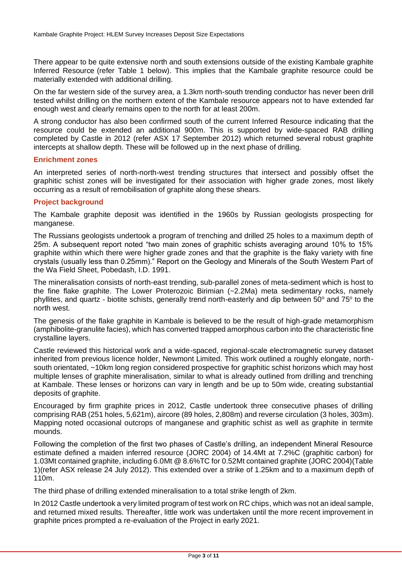There appear to be quite extensive north and south extensions outside of the existing Kambale graphite Inferred Resource (refer Table 1 below). This implies that the Kambale graphite resource could be materially extended with additional drilling.

On the far western side of the survey area, a 1.3km north-south trending conductor has never been drill tested whilst drilling on the northern extent of the Kambale resource appears not to have extended far enough west and clearly remains open to the north for at least 200m.

A strong conductor has also been confirmed south of the current Inferred Resource indicating that the resource could be extended an additional 900m. This is supported by wide-spaced RAB drilling completed by Castle in 2012 (refer ASX 17 September 2012) which returned several robust graphite intercepts at shallow depth. These will be followed up in the next phase of drilling.

#### **Enrichment zones**

An interpreted series of north-north-west trending structures that intersect and possibly offset the graphitic schist zones will be investigated for their association with higher grade zones, most likely occurring as a result of remobilisation of graphite along these shears.

## **Project background**

The Kambale graphite deposit was identified in the 1960s by Russian geologists prospecting for manganese.

The Russians geologists undertook a program of trenching and drilled 25 holes to a maximum depth of 25m. A subsequent report noted "two main zones of graphitic schists averaging around 10% to 15% graphite within which there were higher grade zones and that the graphite is the flaky variety with fine crystals (usually less than 0.25mm)." Report on the Geology and Minerals of the South Western Part of the Wa Field Sheet, Pobedash, I.D. 1991.

The mineralisation consists of north-east trending, sub-parallel zones of meta-sediment which is host to the fine flake graphite. The Lower Proterozoic Birimian (~2.2Ma) meta sedimentary rocks, namely phyllites, and quartz - biotite schists, generally trend north-easterly and dip between 50 $^{\circ}$  and 75 $^{\circ}$  to the north west.

The genesis of the flake graphite in Kambale is believed to be the result of high-grade metamorphism (amphibolite-granulite facies), which has converted trapped amorphous carbon into the characteristic fine crystalline layers.

Castle reviewed this historical work and a wide-spaced, regional-scale electromagnetic survey dataset inherited from previous licence holder, Newmont Limited. This work outlined a roughly elongate, northsouth orientated, ~10km long region considered prospective for graphitic schist horizons which may host multiple lenses of graphite mineralisation, similar to what is already outlined from drilling and trenching at Kambale. These lenses or horizons can vary in length and be up to 50m wide, creating substantial deposits of graphite.

Encouraged by firm graphite prices in 2012, Castle undertook three consecutive phases of drilling comprising RAB (251 holes, 5,621m), aircore (89 holes, 2,808m) and reverse circulation (3 holes, 303m). Mapping noted occasional outcrops of manganese and graphitic schist as well as graphite in termite mounds.

Following the completion of the first two phases of Castle's drilling, an independent Mineral Resource estimate defined a maiden inferred resource (JORC 2004) of 14.4Mt at 7.2%C (graphitic carbon) for 1.03Mt contained graphite, including 6.0Mt @ 8.6%TC for 0.52Mt contained graphite (JORC 2004)(Table 1)(refer ASX release 24 July 2012). This extended over a strike of 1.25km and to a maximum depth of 110m.

The third phase of drilling extended mineralisation to a total strike length of 2km.

In 2012 Castle undertook a very limited program of test work on RC chips, which was not an ideal sample, and returned mixed results. Thereafter, little work was undertaken until the more recent improvement in graphite prices prompted a re-evaluation of the Project in early 2021.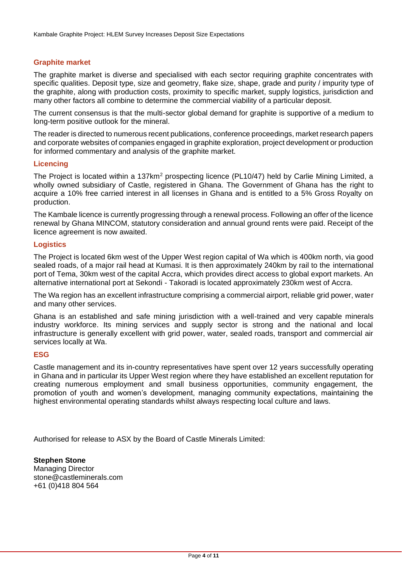## **Graphite market**

The graphite market is diverse and specialised with each sector requiring graphite concentrates with specific qualities. Deposit type, size and geometry, flake size, shape, grade and purity / impurity type of the graphite, along with production costs, proximity to specific market, supply logistics, jurisdiction and many other factors all combine to determine the commercial viability of a particular deposit.

The current consensus is that the multi-sector global demand for graphite is supportive of a medium to long-term positive outlook for the mineral.

The reader is directed to numerous recent publications, conference proceedings, market research papers and corporate websites of companies engaged in graphite exploration, project development or production for informed commentary and analysis of the graphite market.

#### **Licencing**

The Project is located within a 137km<sup>2</sup> prospecting licence (PL10/47) held by Carlie Mining Limited, a wholly owned subsidiary of Castle, registered in Ghana. The Government of Ghana has the right to acquire a 10% free carried interest in all licenses in Ghana and is entitled to a 5% Gross Royalty on production.

The Kambale licence is currently progressing through a renewal process. Following an offer of the licence renewal by Ghana MINCOM, statutory consideration and annual ground rents were paid. Receipt of the licence agreement is now awaited.

#### **Logistics**

The Project is located 6km west of the Upper West region capital of Wa which is 400km north, via good sealed roads, of a major rail head at Kumasi. It is then approximately 240km by rail to the international port of Tema, 30km west of the capital Accra, which provides direct access to global export markets. An alternative international port at Sekondi - Takoradi is located approximately 230km west of Accra.

The Wa region has an excellent infrastructure comprising a commercial airport, reliable grid power, water and many other services.

Ghana is an established and safe mining jurisdiction with a well-trained and very capable minerals industry workforce. Its mining services and supply sector is strong and the national and local infrastructure is generally excellent with grid power, water, sealed roads, transport and commercial air services locally at Wa.

#### **ESG**

Castle management and its in-country representatives have spent over 12 years successfully operating in Ghana and in particular its Upper West region where they have established an excellent reputation for creating numerous employment and small business opportunities, community engagement, the promotion of youth and women's development, managing community expectations, maintaining the highest environmental operating standards whilst always respecting local culture and laws.

Authorised for release to ASX by the Board of Castle Minerals Limited:

**Stephen Stone** Managing Director [stone@castleminerals.com](mailto:stone@castleminerals.com) +61 (0)418 804 564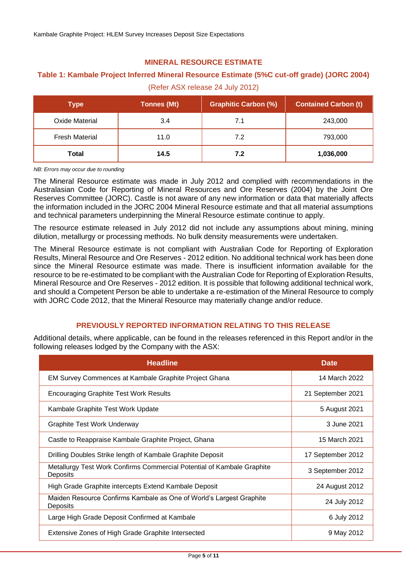## **MINERAL RESOURCE ESTIMATE**

## **Table 1: Kambale Project Inferred Mineral Resource Estimate (5%C cut-off grade) (JORC 2004)**

(Refer ASX release 24 July 2012)

| Type                  | <b>Tonnes (Mt)</b> | <b>Graphitic Carbon (%)</b> | <b>Contained Carbon (t)</b> |
|-----------------------|--------------------|-----------------------------|-----------------------------|
| Oxide Material        | 3.4                | 7.1                         | 243,000                     |
| <b>Fresh Material</b> | 11.0               | 7.2                         | 793,000                     |
| Total                 | 14.5               | 7.2                         | 1,036,000                   |

*NB: Errors may occur due to rounding*

The Mineral Resource estimate was made in July 2012 and complied with recommendations in the Australasian Code for Reporting of Mineral Resources and Ore Reserves (2004) by the Joint Ore Reserves Committee (JORC). Castle is not aware of any new information or data that materially affects the information included in the JORC 2004 Mineral Resource estimate and that all material assumptions and technical parameters underpinning the Mineral Resource estimate continue to apply.

The resource estimate released in July 2012 did not include any assumptions about mining, mining dilution, metallurgy or processing methods. No bulk density measurements were undertaken.

The Mineral Resource estimate is not compliant with Australian Code for Reporting of Exploration Results, Mineral Resource and Ore Reserves - 2012 edition. No additional technical work has been done since the Mineral Resource estimate was made. There is insufficient information available for the resource to be re-estimated to be compliant with the Australian Code for Reporting of Exploration Results, Mineral Resource and Ore Reserves - 2012 edition. It is possible that following additional technical work, and should a Competent Person be able to undertake a re-estimation of the Mineral Resource to comply with JORC Code 2012, that the Mineral Resource may materially change and/or reduce.

## **PREVIOUSLY REPORTED INFORMATION RELATING TO THIS RELEASE**

Additional details, where applicable, can be found in the releases referenced in this Report and/or in the following releases lodged by the Company with the ASX:

| <b>Headline</b>                                                                    | <b>Date</b>       |
|------------------------------------------------------------------------------------|-------------------|
| EM Survey Commences at Kambale Graphite Project Ghana                              | 14 March 2022     |
| <b>Encouraging Graphite Test Work Results</b>                                      | 21 September 2021 |
| Kambale Graphite Test Work Update                                                  | 5 August 2021     |
| <b>Graphite Test Work Underway</b>                                                 | 3 June 2021       |
| Castle to Reappraise Kambale Graphite Project, Ghana                               | 15 March 2021     |
| Drilling Doubles Strike length of Kambale Graphite Deposit                         | 17 September 2012 |
| Metallurgy Test Work Confirms Commercial Potential of Kambale Graphite<br>Deposits | 3 September 2012  |
| High Grade Graphite intercepts Extend Kambale Deposit                              | 24 August 2012    |
| Maiden Resource Confirms Kambale as One of World's Largest Graphite<br>Deposits    | 24 July 2012      |
| Large High Grade Deposit Confirmed at Kambale                                      | 6 July 2012       |
| Extensive Zones of High Grade Graphite Intersected                                 | 9 May 2012        |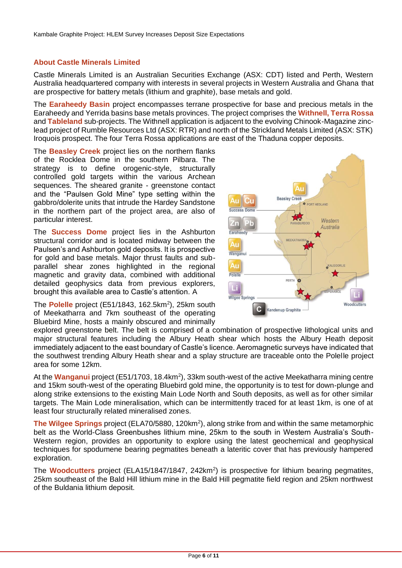## **About Castle Minerals Limited**

Castle Minerals Limited is an Australian Securities Exchange (ASX: CDT) listed and Perth, Western Australia headquartered company with interests in several projects in Western Australia and Ghana that are prospective for battery metals (lithium and graphite), base metals and gold.

The **Earaheedy Basin** project encompasses terrane prospective for base and precious metals in the Earaheedy and Yerrida basins base metals provinces. The project comprises the **Withnell, Terra Rossa** and **Tableland** sub-projects. The Withnell application is adjacent to the evolving Chinook-Magazine zinclead project of Rumble Resources Ltd (ASX: RTR) and north of the Strickland Metals Limited (ASX: STK) Iroquois prospect. The four Terra Rossa applications are east of the Thaduna copper deposits.

The **Beasley Creek** project lies on the northern flanks of the Rocklea Dome in the southern Pilbara. The strategy is to define orogenic-style, structurally controlled gold targets within the various Archean sequences. The sheared granite - greenstone contact and the "Paulsen Gold Mine" type setting within the gabbro/dolerite units that intrude the Hardey Sandstone in the northern part of the project area, are also of particular interest.

The **Success Dome** project lies in the Ashburton structural corridor and is located midway between the Paulsen's and Ashburton gold deposits. It is prospective for gold and base metals. Major thrust faults and subparallel shear zones highlighted in the regional magnetic and gravity data, combined with additional detailed geophysics data from previous explorers, brought this available area to Castle's attention. A

The Polelle project (E51/1843, 162.5km<sup>2</sup>), 25km south of Meekatharra and 7km southeast of the operating Bluebird Mine, hosts a mainly obscured and minimally



explored greenstone belt. The belt is comprised of a combination of prospective lithological units and major structural features including the Albury Heath shear which hosts the Albury Heath deposit immediately adjacent to the east boundary of Castle's licence. Aeromagnetic surveys have indicated that the southwest trending Albury Heath shear and a splay structure are traceable onto the Polelle project area for some 12km.

At the **Wanganui** project (E51/1703, 18.4km<sup>2</sup>), 33km south-west of the active Meekatharra mining centre and 15km south-west of the operating Bluebird gold mine, the opportunity is to test for down-plunge and along strike extensions to the existing Main Lode North and South deposits, as well as for other similar targets. The Main Lode mineralisation, which can be intermittently traced for at least 1km, is one of at least four structurally related mineralised zones.

The Wilgee Springs project (ELA70/5880, 120km<sup>2</sup>), along strike from and within the same metamorphic belt as the World-Class Greenbushes lithium mine, 25km to the south in Western Australia's South-Western region, provides an opportunity to explore using the latest geochemical and geophysical techniques for spodumene bearing pegmatites beneath a lateritic cover that has previously hampered exploration.

The **Woodcutters** project (ELA15/1847/1847, 242km<sup>2</sup>) is prospective for lithium bearing pegmatites, 25km southeast of the Bald Hill lithium mine in the Bald Hill pegmatite field region and 25km northwest of the Buldania lithium deposit.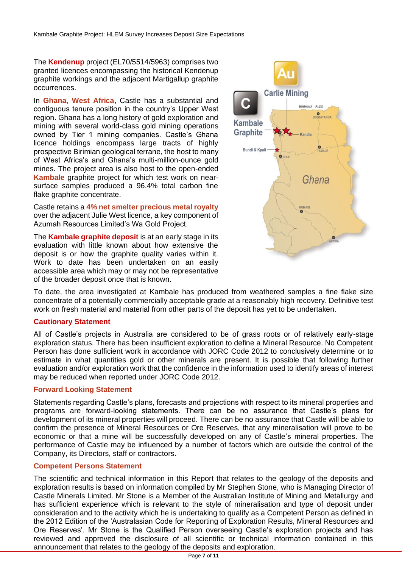The **Kendenup** project (EL70/5514/5963) comprises two granted licences encompassing the historical Kendenup graphite workings and the adjacent Martigallup graphite occurrences.

In **Ghana, West Africa**, Castle has a substantial and contiguous tenure position in the country's Upper West region. Ghana has a long history of gold exploration and mining with several world-class gold mining operations owned by Tier 1 mining companies. Castle's Ghana licence holdings encompass large tracts of highly prospective Birimian geological terrane, the host to many of West Africa's and Ghana's multi-million-ounce gold mines. The project area is also host to the open-ended **Kambale** graphite project for which test work on nearsurface samples produced a 96.4% total carbon fine flake graphite concentrate.

Castle retains a **4% net smelter precious metal royalty** over the adjacent Julie West licence, a key component of Azumah Resources Limited's Wa Gold Project.

The **Kambale graphite deposit** is at an early stage in its evaluation with little known about how extensive the deposit is or how the graphite quality varies within it. Work to date has been undertaken on an easily accessible area which may or may not be representative of the broader deposit once that is known.



To date, the area investigated at Kambale has produced from weathered samples a fine flake size concentrate of a potentially commercially acceptable grade at a reasonably high recovery. Definitive test work on fresh material and material from other parts of the deposit has yet to be undertaken.

## **Cautionary Statement**

All of Castle's projects in Australia are considered to be of grass roots or of relatively early-stage exploration status. There has been insufficient exploration to define a Mineral Resource. No Competent Person has done sufficient work in accordance with JORC Code 2012 to conclusively determine or to estimate in what quantities gold or other minerals are present. It is possible that following further evaluation and/or exploration work that the confidence in the information used to identify areas of interest may be reduced when reported under JORC Code 2012.

## **Forward Looking Statement**

Statements regarding Castle's plans, forecasts and projections with respect to its mineral properties and programs are forward-looking statements. There can be no assurance that Castle's plans for development of its mineral properties will proceed. There can be no assurance that Castle will be able to confirm the presence of Mineral Resources or Ore Reserves, that any mineralisation will prove to be economic or that a mine will be successfully developed on any of Castle's mineral properties. The performance of Castle may be influenced by a number of factors which are outside the control of the Company, its Directors, staff or contractors.

## **Competent Persons Statement**

The scientific and technical information in this Report that relates to the geology of the deposits and exploration results is based on information compiled by Mr Stephen Stone, who is Managing Director of Castle Minerals Limited. Mr Stone is a Member of the Australian Institute of Mining and Metallurgy and has sufficient experience which is relevant to the style of mineralisation and type of deposit under consideration and to the activity which he is undertaking to qualify as a Competent Person as defined in the 2012 Edition of the 'Australasian Code for Reporting of Exploration Results, Mineral Resources and Ore Reserves'. Mr Stone is the Qualified Person overseeing Castle's exploration projects and has reviewed and approved the disclosure of all scientific or technical information contained in this announcement that relates to the geology of the deposits and exploration.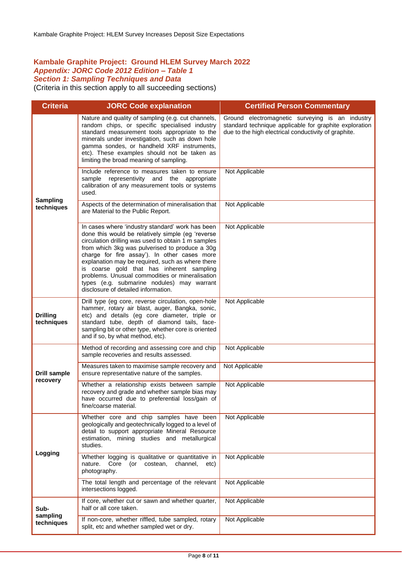### **Kambale Graphite Project: Ground HLEM Survey March 2022**  *Appendix: JORC Code 2012 Edition – Table 1 Section 1: Sampling Techniques and Data*

(Criteria in this section apply to all succeeding sections)

| <b>Criteria</b>                 | <b>JORC Code explanation</b>                                                                                                                                                                                                                                                                                                                                                                                                                                                                            | <b>Certified Person Commentary</b>                                                                                                                                |
|---------------------------------|---------------------------------------------------------------------------------------------------------------------------------------------------------------------------------------------------------------------------------------------------------------------------------------------------------------------------------------------------------------------------------------------------------------------------------------------------------------------------------------------------------|-------------------------------------------------------------------------------------------------------------------------------------------------------------------|
| <b>Sampling</b><br>techniques   | Nature and quality of sampling (e.g. cut channels,<br>random chips, or specific specialised industry<br>standard measurement tools appropriate to the<br>minerals under investigation, such as down hole<br>gamma sondes, or handheld XRF instruments,<br>etc). These examples should not be taken as<br>limiting the broad meaning of sampling.                                                                                                                                                        | Ground electromagnetic surveying is an industry<br>standard technique applicable for graphite exploration<br>due to the high electrical conductivity of graphite. |
|                                 | Include reference to measures taken to ensure<br>representivity and the appropriate<br>sample<br>calibration of any measurement tools or systems<br>used.                                                                                                                                                                                                                                                                                                                                               | Not Applicable                                                                                                                                                    |
|                                 | Aspects of the determination of mineralisation that<br>are Material to the Public Report.                                                                                                                                                                                                                                                                                                                                                                                                               | Not Applicable                                                                                                                                                    |
|                                 | In cases where 'industry standard' work has been<br>done this would be relatively simple (eg 'reverse<br>circulation drilling was used to obtain 1 m samples<br>from which 3kg was pulverised to produce a 30g<br>charge for fire assay'). In other cases more<br>explanation may be required, such as where there<br>is coarse gold that has inherent sampling<br>problems. Unusual commodities or mineralisation<br>types (e.g. submarine nodules) may warrant<br>disclosure of detailed information. | Not Applicable                                                                                                                                                    |
| <b>Drilling</b><br>techniques   | Drill type (eg core, reverse circulation, open-hole<br>hammer, rotary air blast, auger, Bangka, sonic,<br>etc) and details (eg core diameter, triple or<br>standard tube, depth of diamond tails, face-<br>sampling bit or other type, whether core is oriented<br>and if so, by what method, etc).                                                                                                                                                                                                     | Not Applicable                                                                                                                                                    |
|                                 | Method of recording and assessing core and chip<br>sample recoveries and results assessed.                                                                                                                                                                                                                                                                                                                                                                                                              | Not Applicable                                                                                                                                                    |
| <b>Drill sample</b><br>recovery | Measures taken to maximise sample recovery and<br>ensure representative nature of the samples.                                                                                                                                                                                                                                                                                                                                                                                                          | Not Applicable                                                                                                                                                    |
|                                 | Whether a relationship exists between sample<br>recovery and grade and whether sample bias may<br>have occurred due to preferential loss/gain of<br>fine/coarse material.                                                                                                                                                                                                                                                                                                                               | Not Applicable                                                                                                                                                    |
| Logging                         | Whether core and chip samples have been<br>geologically and geotechnically logged to a level of<br>detail to support appropriate Mineral Resource<br>estimation, mining studies and metallurgical<br>studies.                                                                                                                                                                                                                                                                                           | Not Applicable                                                                                                                                                    |
|                                 | Whether logging is qualitative or quantitative in<br>nature.<br>Core (or costean,<br>channel,<br>etc)<br>photography.                                                                                                                                                                                                                                                                                                                                                                                   | Not Applicable                                                                                                                                                    |
|                                 | The total length and percentage of the relevant<br>intersections logged.                                                                                                                                                                                                                                                                                                                                                                                                                                | Not Applicable                                                                                                                                                    |
| Sub-<br>sampling<br>techniques  | If core, whether cut or sawn and whether quarter,<br>half or all core taken.                                                                                                                                                                                                                                                                                                                                                                                                                            | Not Applicable                                                                                                                                                    |
|                                 | If non-core, whether riffled, tube sampled, rotary<br>split, etc and whether sampled wet or dry.                                                                                                                                                                                                                                                                                                                                                                                                        | Not Applicable                                                                                                                                                    |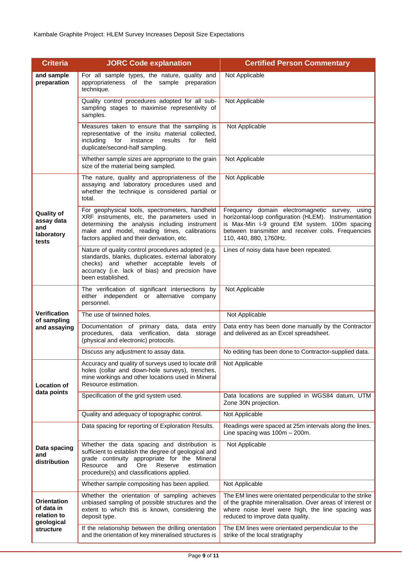| <b>Criteria</b>                                               | <b>JORC Code explanation</b>                                                                                                                                                                                                                         | <b>Certified Person Commentary</b>                                                                                                                                                                                                        |
|---------------------------------------------------------------|------------------------------------------------------------------------------------------------------------------------------------------------------------------------------------------------------------------------------------------------------|-------------------------------------------------------------------------------------------------------------------------------------------------------------------------------------------------------------------------------------------|
| and sample<br>preparation                                     | For all sample types, the nature, quality and<br>appropriateness of the sample preparation<br>technique.                                                                                                                                             | Not Applicable                                                                                                                                                                                                                            |
|                                                               | Quality control procedures adopted for all sub-<br>sampling stages to maximise representivity of<br>samples.                                                                                                                                         | Not Applicable                                                                                                                                                                                                                            |
|                                                               | Measures taken to ensure that the sampling is<br>representative of the insitu material collected,<br>field<br>includina<br>for<br>instance<br>results<br>for<br>duplicate/second-half sampling.                                                      | Not Applicable                                                                                                                                                                                                                            |
|                                                               | Whether sample sizes are appropriate to the grain<br>size of the material being sampled.                                                                                                                                                             | Not Applicable                                                                                                                                                                                                                            |
|                                                               | The nature, quality and appropriateness of the<br>assaying and laboratory procedures used and<br>whether the technique is considered partial or<br>total.                                                                                            | Not Applicable                                                                                                                                                                                                                            |
| <b>Quality of</b><br>assay data<br>and<br>laboratory<br>tests | For geophysical tools, spectrometers, handheld<br>XRF instruments, etc, the parameters used in<br>determining the analysis including instrument<br>make and model, reading times, calibrations<br>factors applied and their derivation, etc.         | Frequency domain electromagnetic survey, using<br>horizontal-loop configuration (HLEM). Instrumentation<br>is Max-Min I-9 ground EM system. 100m spacing<br>between transmitter and receiver coils. Frequencies<br>110, 440, 880, 1760Hz. |
|                                                               | Nature of quality control procedures adopted (e.g.<br>standards, blanks, duplicates, external laboratory<br>checks) and whether acceptable levels of<br>accuracy (i.e. lack of bias) and precision have<br>been established.                         | Lines of noisy data have been repeated.                                                                                                                                                                                                   |
|                                                               | The verification of significant intersections by<br>either independent or alternative<br>company<br>personnel.                                                                                                                                       | Not Applicable                                                                                                                                                                                                                            |
| <b>Verification</b>                                           | The use of twinned holes.                                                                                                                                                                                                                            | Not Applicable                                                                                                                                                                                                                            |
| of sampling<br>and assaying                                   | Documentation of primary data, data entry<br>procedures, data verification, data storage<br>(physical and electronic) protocols.                                                                                                                     | Data entry has been done manually by the Contractor<br>and delivered as an Excel spreadsheet.                                                                                                                                             |
|                                                               | Discuss any adjustment to assay data.                                                                                                                                                                                                                | No editing has been done to Contractor-supplied data.                                                                                                                                                                                     |
| <b>Location of</b><br>data points                             | Accuracy and quality of surveys used to locate drill<br>holes (collar and down-hole surveys), trenches,<br>mine workings and other locations used in Mineral<br>Resource estimation.                                                                 | Not Applicable                                                                                                                                                                                                                            |
|                                                               | Specification of the grid system used.                                                                                                                                                                                                               | Data locations are supplied in WGS84 datum, UTM<br>Zone 30N projection.                                                                                                                                                                   |
|                                                               | Quality and adequacy of topographic control.                                                                                                                                                                                                         | Not Applicable                                                                                                                                                                                                                            |
|                                                               | Data spacing for reporting of Exploration Results.                                                                                                                                                                                                   | Readings were spaced at 25m intervals along the lines.<br>Line spacing was $100m - 200m$ .                                                                                                                                                |
| Data spacing<br>and<br>distribution                           | Whether the data spacing and distribution is<br>sufficient to establish the degree of geological and<br>grade continuity appropriate for the Mineral<br>Ore<br>Resource<br>and<br>Reserve<br>estimation<br>procedure(s) and classifications applied. | Not Applicable                                                                                                                                                                                                                            |
|                                                               | Whether sample compositing has been applied.                                                                                                                                                                                                         | Not Applicable                                                                                                                                                                                                                            |
| Orientation<br>of data in<br>relation to<br>geological        | Whether the orientation of sampling achieves<br>unbiased sampling of possible structures and the<br>extent to which this is known, considering the<br>deposit type.                                                                                  | The EM lines were orientated perpendicular to the strike<br>of the graphite mineralisation. Over areas of interest or<br>where noise level were high, the line spacing was<br>reduced to improve data quality.                            |
| structure                                                     | If the relationship between the drilling orientation<br>and the orientation of key mineralised structures is                                                                                                                                         | The EM lines were orientated perpendicular to the<br>strike of the local stratigraphy                                                                                                                                                     |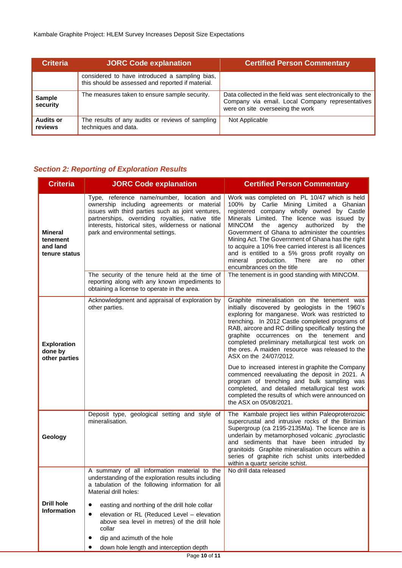| <b>Criteria</b>             | <b>JORC Code explanation</b>                                                                        | <b>Certified Person Commentary</b>                                                                                                                 |
|-----------------------------|-----------------------------------------------------------------------------------------------------|----------------------------------------------------------------------------------------------------------------------------------------------------|
|                             | considered to have introduced a sampling bias,<br>this should be assessed and reported if material. |                                                                                                                                                    |
| <b>Sample</b><br>security   | The measures taken to ensure sample security.                                                       | Data collected in the field was sent electronically to the<br>Company via email. Local Company representatives<br>were on site overseeing the work |
| <b>Audits or</b><br>reviews | The results of any audits or reviews of sampling<br>techniques and data.                            | Not Applicable                                                                                                                                     |

## *Section 2: Reporting of Exploration Results*

| <b>Criteria</b>                                         | <b>JORC Code explanation</b>                                                                                                                                                                                                                                                                | <b>Certified Person Commentary</b>                                                                                                                                                                                                                                                                                                                                                                                                                                                                                                                          |
|---------------------------------------------------------|---------------------------------------------------------------------------------------------------------------------------------------------------------------------------------------------------------------------------------------------------------------------------------------------|-------------------------------------------------------------------------------------------------------------------------------------------------------------------------------------------------------------------------------------------------------------------------------------------------------------------------------------------------------------------------------------------------------------------------------------------------------------------------------------------------------------------------------------------------------------|
| <b>Mineral</b><br>tenement<br>and land<br>tenure status | Type, reference name/number, location and<br>ownership including agreements or material<br>issues with third parties such as joint ventures,<br>partnerships, overriding royalties, native title<br>interests, historical sites, wilderness or national<br>park and environmental settings. | Work was completed on PL 10/47 which is held<br>100% by Carlie Mining Limited a Ghanian<br>registered company wholly owned by Castle<br>Minerals Limited. The licence was issued by<br><b>MINCOM</b><br>authorized<br>the<br>agency<br>by<br>the<br>Government of Ghana to administer the countries<br>Mining Act. The Government of Ghana has the right<br>to acquire a 10% free carried interest is all licences<br>and is entitled to a 5% gross profit royalty on<br>There<br>other<br>production.<br>are<br>mineral<br>no<br>encumbrances on the title |
|                                                         | The security of the tenure held at the time of<br>reporting along with any known impediments to<br>obtaining a license to operate in the area.                                                                                                                                              | The tenement is in good standing with MINCOM.                                                                                                                                                                                                                                                                                                                                                                                                                                                                                                               |
| <b>Exploration</b><br>done by<br>other parties          | Acknowledgment and appraisal of exploration by<br>other parties.                                                                                                                                                                                                                            | Graphite mineralisation on the tenement was<br>initially discovered by geologists in the 1960's<br>exploring for manganese. Work was restricted to<br>trenching. In 2012 Castle completed programs of<br>RAB, aircore and RC drilling specifically testing the<br>graphite occurrences on the tenement and<br>completed preliminary metallurgical test work on<br>the ores. A maiden resource was released to the<br>ASX on the 24/07/2012.                                                                                                                 |
|                                                         |                                                                                                                                                                                                                                                                                             | Due to increased interest in graphite the Company<br>commenced reevaluating the deposit in 2021. A<br>program of trenching and bulk sampling was<br>completed, and detailed metallurgical test work<br>completed the results of which were announced on<br>the ASX on 05/08/2021.                                                                                                                                                                                                                                                                           |
| Geology                                                 | Deposit type, geological setting and style of<br>mineralisation.                                                                                                                                                                                                                            | The Kambale project lies within Paleoproterozoic<br>supercrustal and intrusive rocks of the Birimian<br>Supergroup (ca 2195-2135Ma). The licence are is<br>underlain by metamorphosed volcanic ,pyroclastic<br>and sediments that have been intruded by<br>granitoids Graphite mineralisation occurs within a<br>series of graphite rich schist units interbedded<br>within a quartz sericite schist.                                                                                                                                                       |
|                                                         | A summary of all information material to the<br>understanding of the exploration results including<br>a tabulation of the following information for all<br>Material drill holes:                                                                                                            | No drill data released                                                                                                                                                                                                                                                                                                                                                                                                                                                                                                                                      |
| <b>Drill hole</b><br><b>Information</b>                 | easting and northing of the drill hole collar<br>elevation or RL (Reduced Level - elevation<br>above sea level in metres) of the drill hole<br>collar<br>dip and azimuth of the hole<br>down hole length and interception depth                                                             |                                                                                                                                                                                                                                                                                                                                                                                                                                                                                                                                                             |